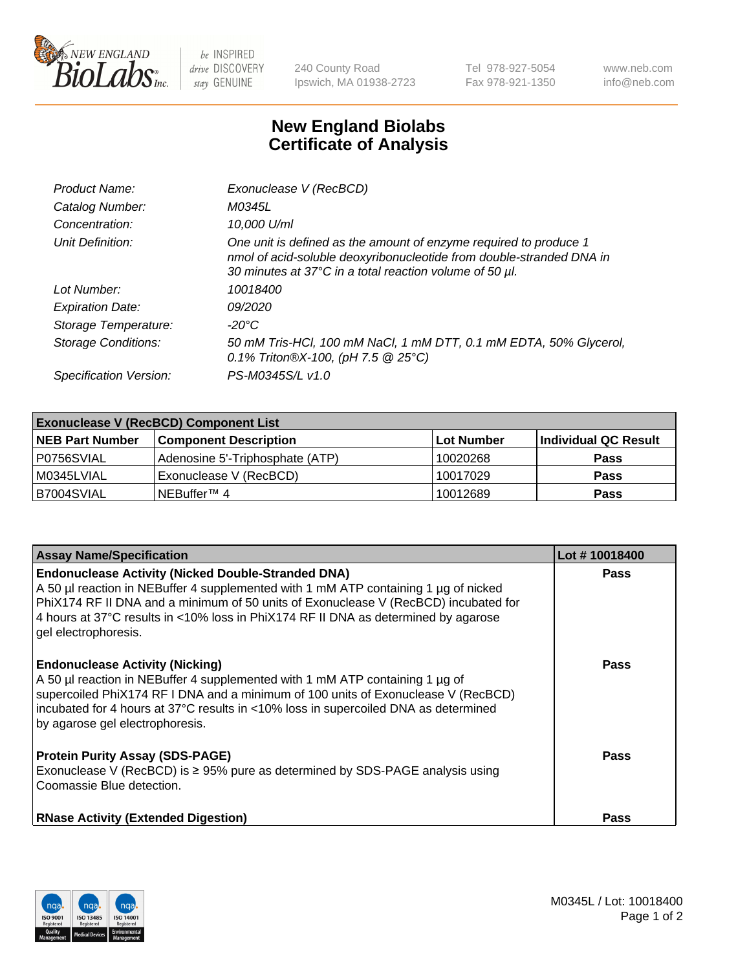

 $be$  INSPIRED drive DISCOVERY stay GENUINE

240 County Road Ipswich, MA 01938-2723 Tel 978-927-5054 Fax 978-921-1350 www.neb.com info@neb.com

## **New England Biolabs Certificate of Analysis**

| Product Name:              | Exonuclease V (RecBCD)                                                                                                                                                                               |
|----------------------------|------------------------------------------------------------------------------------------------------------------------------------------------------------------------------------------------------|
| Catalog Number:            | M0345L                                                                                                                                                                                               |
| Concentration:             | 10,000 U/ml                                                                                                                                                                                          |
| Unit Definition:           | One unit is defined as the amount of enzyme required to produce 1<br>nmol of acid-soluble deoxyribonucleotide from double-stranded DNA in<br>30 minutes at 37°C in a total reaction volume of 50 µl. |
| Lot Number:                | 10018400                                                                                                                                                                                             |
| <b>Expiration Date:</b>    | <i>09/2020</i>                                                                                                                                                                                       |
| Storage Temperature:       | -20°C                                                                                                                                                                                                |
| <b>Storage Conditions:</b> | 50 mM Tris-HCl, 100 mM NaCl, 1 mM DTT, 0.1 mM EDTA, 50% Glycerol,<br>0.1% Triton®X-100, (pH 7.5 $@25°C$ )                                                                                            |
| Specification Version:     | PS-M0345S/L v1.0                                                                                                                                                                                     |

| <b>Exonuclease V (RecBCD) Component List</b> |                                 |                   |                      |  |
|----------------------------------------------|---------------------------------|-------------------|----------------------|--|
| <b>NEB Part Number</b>                       | <b>Component Description</b>    | <b>Lot Number</b> | Individual QC Result |  |
| P0756SVIAL                                   | Adenosine 5'-Triphosphate (ATP) | 10020268          | <b>Pass</b>          |  |
| M0345LVIAL                                   | Exonuclease V (RecBCD)          | 10017029          | <b>Pass</b>          |  |
| B7004SVIAL                                   | l NEBuffer™ 4                   | 10012689          | <b>Pass</b>          |  |

| <b>Assay Name/Specification</b>                                                                                                                                                                                                                                                                                                                       | Lot #10018400 |
|-------------------------------------------------------------------------------------------------------------------------------------------------------------------------------------------------------------------------------------------------------------------------------------------------------------------------------------------------------|---------------|
| <b>Endonuclease Activity (Nicked Double-Stranded DNA)</b><br>A 50 µl reaction in NEBuffer 4 supplemented with 1 mM ATP containing 1 µg of nicked<br>PhiX174 RF II DNA and a minimum of 50 units of Exonuclease V (RecBCD) incubated for<br>4 hours at 37°C results in <10% loss in PhiX174 RF II DNA as determined by agarose<br>gel electrophoresis. | <b>Pass</b>   |
| <b>Endonuclease Activity (Nicking)</b><br>A 50 µl reaction in NEBuffer 4 supplemented with 1 mM ATP containing 1 µg of<br>supercoiled PhiX174 RF I DNA and a minimum of 100 units of Exonuclease V (RecBCD)<br>incubated for 4 hours at 37°C results in <10% loss in supercoiled DNA as determined<br>by agarose gel electrophoresis.                 | <b>Pass</b>   |
| <b>Protein Purity Assay (SDS-PAGE)</b><br>Exonuclease V (RecBCD) is $\geq$ 95% pure as determined by SDS-PAGE analysis using<br>Coomassie Blue detection.                                                                                                                                                                                             | <b>Pass</b>   |
| <b>RNase Activity (Extended Digestion)</b>                                                                                                                                                                                                                                                                                                            | <b>Pass</b>   |